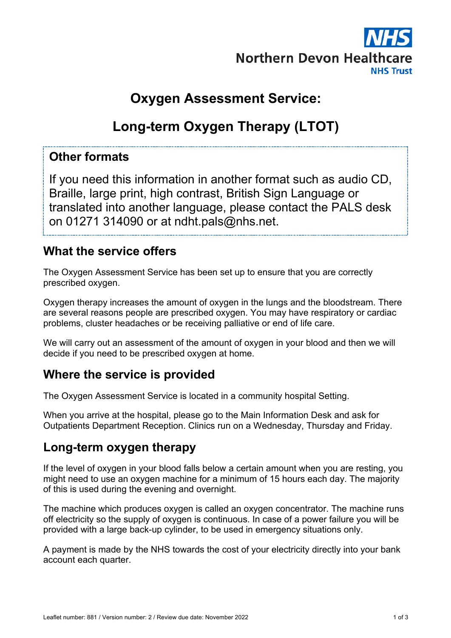

## **Oxygen Assessment Service:**

# **Long-term Oxygen Therapy (LTOT)**

#### **Other formats**

If you need this information in another format such as audio CD, Braille, large print, high contrast, British Sign Language or translated into another language, please contact the PALS desk on 01271 314090 or at ndht.pals@nhs.net.

#### **What the service offers**

The Oxygen Assessment Service has been set up to ensure that you are correctly prescribed oxygen.

Oxygen therapy increases the amount of oxygen in the lungs and the bloodstream. There are several reasons people are prescribed oxygen. You may have respiratory or cardiac problems, cluster headaches or be receiving palliative or end of life care.

We will carry out an assessment of the amount of oxygen in your blood and then we will decide if you need to be prescribed oxygen at home.

## **Where the service is provided**

The Oxygen Assessment Service is located in a community hospital Setting.

When you arrive at the hospital, please go to the Main Information Desk and ask for Outpatients Department Reception. Clinics run on a Wednesday, Thursday and Friday.

#### **Long-term oxygen therapy**

If the level of oxygen in your blood falls below a certain amount when you are resting, you might need to use an oxygen machine for a minimum of 15 hours each day. The majority of this is used during the evening and overnight.

The machine which produces oxygen is called an oxygen concentrator. The machine runs off electricity so the supply of oxygen is continuous. In case of a power failure you will be provided with a large back-up cylinder, to be used in emergency situations only.

A payment is made by the NHS towards the cost of your electricity directly into your bank account each quarter.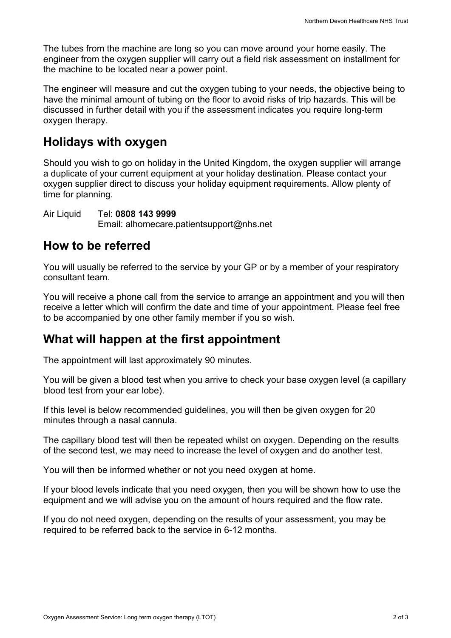The tubes from the machine are long so you can move around your home easily. The engineer from the oxygen supplier will carry out a field risk assessment on installment for the machine to be located near a power point.

The engineer will measure and cut the oxygen tubing to your needs, the objective being to have the minimal amount of tubing on the floor to avoid risks of trip hazards. This will be discussed in further detail with you if the assessment indicates you require long-term oxygen therapy.

#### **Holidays with oxygen**

Should you wish to go on holiday in the United Kingdom, the oxygen supplier will arrange a duplicate of your current equipment at your holiday destination. Please contact your oxygen supplier direct to discuss your holiday equipment requirements. Allow plenty of time for planning.

Air Liquid Tel: **0808 143 9999** Email: alhomecare.patientsupport@nhs.net

#### **How to be referred**

You will usually be referred to the service by your GP or by a member of your respiratory consultant team.

You will receive a phone call from the service to arrange an appointment and you will then receive a letter which will confirm the date and time of your appointment. Please feel free to be accompanied by one other family member if you so wish.

## **What will happen at the first appointment**

The appointment will last approximately 90 minutes.

You will be given a blood test when you arrive to check your base oxygen level (a capillary blood test from your ear lobe).

If this level is below recommended guidelines, you will then be given oxygen for 20 minutes through a nasal cannula.

The capillary blood test will then be repeated whilst on oxygen. Depending on the results of the second test, we may need to increase the level of oxygen and do another test.

You will then be informed whether or not you need oxygen at home.

If your blood levels indicate that you need oxygen, then you will be shown how to use the equipment and we will advise you on the amount of hours required and the flow rate.

If you do not need oxygen, depending on the results of your assessment, you may be required to be referred back to the service in 6-12 months.